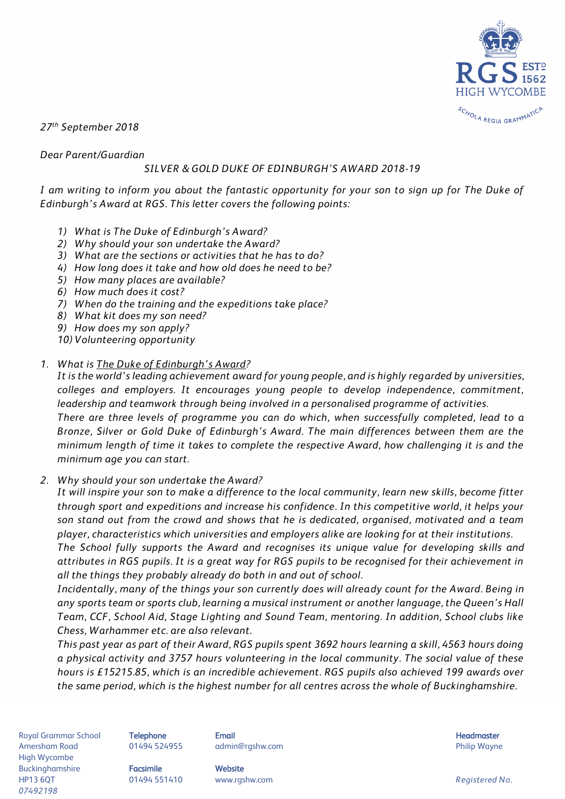

*27 th September 2018*

*Dear Parent/Guardian* 

#### *SILVER & GOLD DUKE OF EDINBURGH'S AWARD 2018-19*

*I am writing to inform you about the fantastic opportunity for your son to sign up for The Duke of Edinburgh's Award at RGS. This letter covers the following points:* 

- *1) What is The Duke of Edinburgh's Award?*
- *2) Why should your son undertake the Award?*
- *3) What are the sections or activities that he has to do?*
- *4) How long does it take and how old does he need to be?*
- *5) How many places are available?*
- *6) How much does it cost?*
- *7) When do the training and the expeditions take place?*
- *8) What kit does my son need?*
- *9) How does my son apply?*

*10) Volunteering opportunity*

#### *1. What is [The Duke of Edinburgh's Award](https://www.dofe.org/)?*

*It is the world's leading achievement award for young people, and is highly regarded by universities, colleges and employers. It encourages young people to develop independence, commitment, leadership and teamwork through being involved in a personalised programme of activities. There are three levels of programme you can do which, when successfully completed, lead to a Bronze, Silver or Gold Duke of Edinburgh's Award. The main differences between them are the minimum length of time it takes to complete the respective Award, how challenging it is and the minimum age you can start.* 

#### *2. Why should your son undertake the Award?*

*It will inspire your son to make a difference to the local community, learn new skills, become fitter through sport and expeditions and increase his confidence. In this competitive world, it helps your son stand out from the crowd and shows that he is dedicated, organised, motivated and a team player, characteristics which universities and employers alike are looking for at their institutions.*

*The School fully supports the Award and recognises its unique value for developing skills and attributes in RGS pupils. It is a great way for RGS pupils to be recognised for their achievement in all the things they probably already do both in and out of school.*

*Incidentally, many of the things your son currently does will already count for the Award. Being in any sports team or sports club, learning a musical instrument or another language, the Queen's Hall Team, CCF, School Aid, Stage Lighting and Sound Team, mentoring. In addition, School clubs like Chess, Warhammer etc. are also relevant.* 

*This past year as part of their Award, RGS pupils spent 3692 hours learning a skill, 4563 hours doing a physical activity and 3757 hours volunteering in the local community. The social value of these hours is £15215.85, which is an incredible achievement. RGS pupils also achieved 199 awards over the same period, which is the highest number for all centres across the whole of Buckinghamshire.* 

Royal Grammar School **Telephone Email Email Headmaster Email Headmaster Headmaster Headmaster** Amersham Road 01494 524955 admin@rgshw.com Philip Wayne High Wycombe Buckinghamshire **Facsimile Website** HP13 6QT 01494 551410 www.rgshw.com *Registered No. 07492198*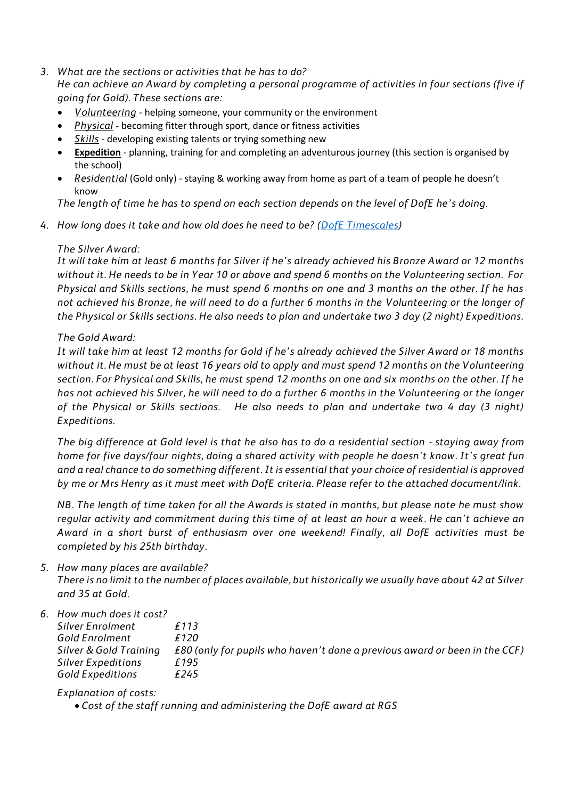*3. What are the sections or activities that he has to do?*

*He can achieve an Award by completing a personal programme of activities in four sections (five if going for Gold). These sections are:*

- *[Volunteering](https://www.dofe.org/doing-your-dofe/activities-sections/volunteering/)* helping someone, your community or the environment
- *[Physical](https://www.dofe.org/doing-your-dofe/activities-sections/physical/)* becoming fitter through sport, dance or fitness activities
- *[Skills](https://www.dofe.org/doing-your-dofe/activities-sections/skills/)* developing existing talents or trying something new
- **Expedition** planning, training for and completing an adventurous journey (this section is organised by the school)
- *[Residential](https://www.dofe.org/doing-your-dofe/activities-sections/residential/)* (Gold only) staying & working away from home as part of a team of people he doesn't know

*The length of time he has to spend on each section depends on the level of DofE he's doing.*

*4. How long does it take and how old does he need to be? [\(DofE Timescales\)](https://www.rgshw.com/_site/data/files/documents/school%20life/d%20of%20e/EC823C5534A152211BE6D1F88F88D400.pdf)*

### *The Silver Award:*

*It will take him at least 6 months for Silver if he's already achieved his Bronze Award or 12 months without it. He needs to be in Year 10 or above and spend 6 months on the Volunteering section. For Physical and Skills sections, he must spend 6 months on one and 3 months on the other. If he has not achieved his Bronze, he will need to do a further 6 months in the Volunteering or the longer of the Physical or Skills sections. He also needs to plan and undertake two 3 day (2 night) Expeditions.* 

### *The Gold Award:*

*It will take him at least 12 months for Gold if he's already achieved the Silver Award or 18 months without it. He must be at least 16 years old to apply and must spend 12 months on the Volunteering section. For Physical and Skills, he must spend 12 months on one and six months on the other. If he has not achieved his Silver, he will need to do a further 6 months in the Volunteering or the longer of the Physical or Skills sections. He also needs to plan and undertake two 4 day (3 night) Expeditions.* 

*The big difference at Gold level is that he also has to do a residential section - staying away from home for five days/four nights, doing a shared activity with people he doesn't know. It's great fun and a real chance to do something different. It is essential that your choice of residential is approved by me or Mrs Henry as it must meet with DofE criteria. Please refer to the attached document/link.* 

*NB. The length of time taken for all the Awards is stated in months, but please note he must show regular activity and commitment during this time of at least an hour a week. He can't achieve an Award in a short burst of enthusiasm over one weekend! Finally, all DofE activities must be completed by his 25th birthday.*

*5. How many places are available? There is no limit to the number of places available, but historically we usually have about 42 at Silver and 35 at Gold.* 

| 6.How much does it cost?  |                                                                               |
|---------------------------|-------------------------------------------------------------------------------|
| <b>Silver Enrolment</b>   | f 1 1 3                                                                       |
| Gold Enrolment            | <i>€</i> 120                                                                  |
| Silver & Gold Training    | £80 (only for pupils who haven't done a previous award or been in the $CCF$ ) |
| <b>Silver Expeditions</b> | f 195                                                                         |
| <b>Gold Expeditions</b>   | <i>£245</i>                                                                   |

*Explanation of costs:*

*Cost of the staff running and administering the DofE award at RGS*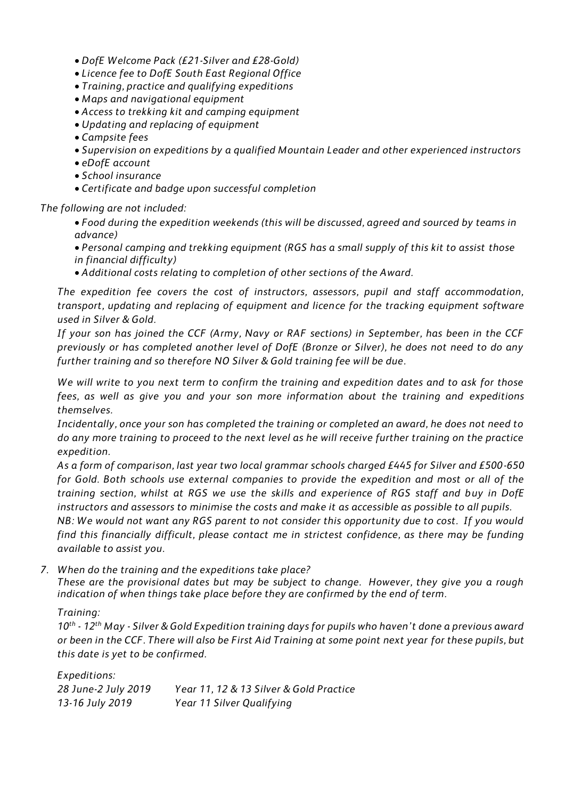- *DofE Welcome Pack (£21-Silver and £28-Gold)*
- *Licence fee to DofE South East Regional Office*
- *Training, practice and qualifying expeditions*
- *Maps and navigational equipment*
- *Access to trekking kit and camping equipment*
- *Updating and replacing of equipment*
- *Campsite fees*
- *Supervision on expeditions by a qualified Mountain Leader and other experienced instructors*
- *eDofE account*
- *School insurance*
- *Certificate and badge upon successful completion*

*The following are not included:* 

- *Food during the expedition weekends (this will be discussed, agreed and sourced by teams in advance)*
- *Personal camping and trekking equipment (RGS has a small supply of this kit to assist those in financial difficulty)*
- *Additional costs relating to completion of other sections of the Award.*

*The expedition fee covers the cost of instructors, assessors, pupil and staff accommodation, transport, updating and replacing of equipment and licence for the tracking equipment software used in Silver & Gold.* 

*If your son has joined the CCF (Army, Navy or RAF sections) in September, has been in the CCF previously or has completed another level of DofE (Bronze or Silver), he does not need to do any further training and so therefore NO Silver & Gold training fee will be due.* 

*We will write to you next term to confirm the training and expedition dates and to ask for those fees, as well as give you and your son more information about the training and expeditions themselves.*

*Incidentally, once your son has completed the training or completed an award, he does not need to do any more training to proceed to the next level as he will receive further training on the practice expedition.*

*As a form of comparison, last year two local grammar schools charged £445 for Silver and £500-650 for Gold. Both schools use external companies to provide the expedition and most or all of the training section, whilst at RGS we use the skills and experience of RGS staff and buy in DofE instructors and assessors to minimise the costs and make it as accessible as possible to all pupils.*

*NB: We would not want any RGS parent to not consider this opportunity due to cost. If you would find this financially difficult, please contact me in strictest confidence, as there may be funding available to assist you.*

*7. When do the training and the expeditions take place?*

*These are the provisional dates but may be subject to change. However, they give you a rough indication of when things take place before they are confirmed by the end of term.*

## *Training:*

*10th - 12th May - Silver & Gold Expedition training days for pupils who haven't done a previous award or been in the CCF. There will also be First Aid Training at some point next year for these pupils, but this date is yet to be confirmed.* 

| Expeditions:        |                                         |
|---------------------|-----------------------------------------|
| 28 June-2 July 2019 | Year 11, 12 & 13 Silver & Gold Practice |
| 13-16 July 2019     | Year 11 Silver Qualifying               |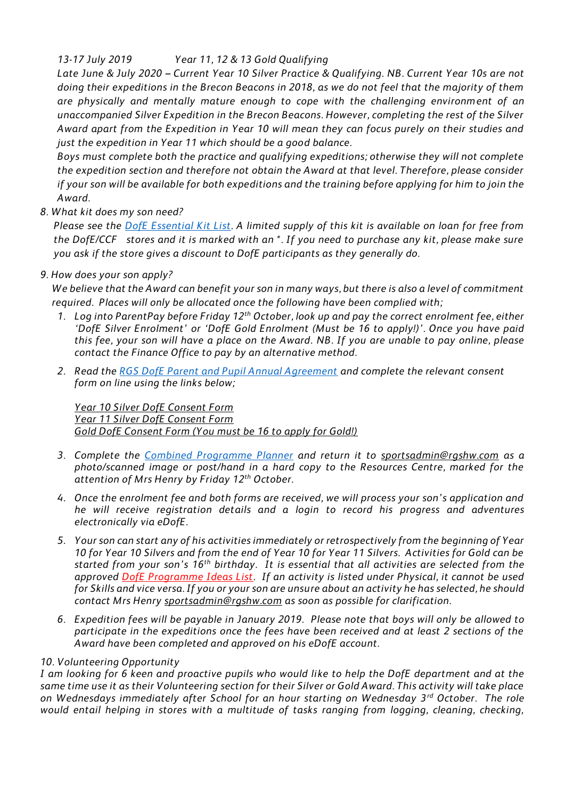# *13-17 July 2019 Year 11, 12 & 13 Gold Qualifying*

*Late June & July 2020 – Current Year 10 Silver Practice & Qualifying. NB. Current Year 10s are not doing their expeditions in the Brecon Beacons in 2018, as we do not feel that the majority of them are physically and mentally mature enough to cope with the challenging environment of an unaccompanied Silver Expedition in the Brecon Beacons. However, completing the rest of the Silver Award apart from the Expedition in Year 10 will mean they can focus purely on their studies and just the expedition in Year 11 which should be a good balance.* 

*Boys must complete both the practice and qualifying expeditions; otherwise they will not complete the expedition section and therefore not obtain the Award at that level. Therefore, please consider if your son will be available for both expeditions and the training before applying for him to join the Award.*

*8. What kit does my son need?* 

*Please see the [DofE Essential Kit List.](https://www.rgshw.com/_site/data/files/documents/school%20life/d%20of%20e/AC1CF5BB6F4DBDBF7F5B9266531BCD04.pdf) A limited supply of this kit is available on loan for free from the DofE/CCF stores and it is marked with an \*. If you need to purchase any kit, please make sure you ask if the store gives a discount to DofE participants as they generally do.*

# *9. How does your son apply?*

*We believe that the Award can benefit your son in many ways, but there is also a level of commitment required. Places will only be allocated once the following have been complied with;*

- *1. Log into ParentPay before Friday 12th October, look up and pay the correct enrolment fee, either 'DofE Silver Enrolment' or 'DofE Gold Enrolment (Must be 16 to apply!)'. Once you have paid this fee, your son will have a place on the Award. NB. If you are unable to pay online, please contact the Finance Office to pay by an alternative method.*
- *2. Read the [RGS DofE Parent and Pupil Annual Agreement](https://www.rgshw.com/_site/data/files/documents/school%20life/d%20of%20e/588D3FBBFF78CE940232852C95A2BBBE.pdf) and complete the relevant consent form on line using the links below;*

*[Year 10 Silver DofE Consent Form](https://forms.office.com/Pages/ResponsePage.aspx?id=Pu6mcJUbIEifB1_MiPbJhnRnkunlNPZBjTT4NgkP4L5URVNZV1g3SkwxS0cyTzU1NEZCUUZVWTVGVC4u) [Year 11 Silver DofE Consent Form](https://forms.office.com/Pages/ResponsePage.aspx?id=Pu6mcJUbIEifB1_MiPbJhnRnkunlNPZBjTT4NgkP4L5UMksxNE80U1Q3UUNKSFo1NVRJTzlGVDk2Uy4u)  [Gold DofE Consent Form \(You must be 16 to apply for Gold!\)](https://forms.office.com/Pages/ResponsePage.aspx?id=Pu6mcJUbIEifB1_MiPbJhnRnkunlNPZBjTT4NgkP4L5UOE1MSkNWQks0Q0NZMlIwMzlMVDdDWTRGVC4u)*

- *3. Complete the [Combined Programme Planner](https://www.rgshw.com/_site/data/files/documents/school%20life/d%20of%20e/615743FAD50BAB90C2A58EEF2C09EB3D.pdf) and return it to [sportsadmin@rgshw.com](mailto:sportsadmin@rgshw.com) as a photo/scanned image or post/hand in a hard copy to the Resources Centre, marked for the attention of Mrs Henry by Friday 12 th October.*
- *4. Once the enrolment fee and both forms are received, we will process your son's application and he will receive registration details and a login to record his progress and adventures electronically via eDofE.*
- *5. Your son can start any of his activities immediately or retrospectively from the beginning of Year 10 for Year 10 Silvers and from the end of Year 10 for Year 11 Silvers. Activities for Gold can be started from your son's 16th birthday. It is essential that all activities are selected from the approved [DofE Programme Ideas List.](https://www.dofe.org/wp-content/uploads/2018/08/programme_ideas_-_complete.pdf) If an activity is listed under Physical, it cannot be used for Skills and vice versa. If you or your son are unsure about an activity he has selected, he should contact Mrs Henry [sportsadmin@rgshw.com](mailto:sportsadmin@rgshw.com) as soon as possible for clarification.*
- *6. Expedition fees will be payable in January 2019. Please note that boys will only be allowed to participate in the expeditions once the fees have been received and at least 2 sections of the Award have been completed and approved on his eDofE account.*

## *10. Volunteering Opportunity*

*I am looking for 6 keen and proactive pupils who would like to help the DofE department and at the same time use it as their Volunteering section for their Silver or Gold Award. This activity will take place on Wednesdays immediately after School for an hour starting on Wednesday 3rd October. The role would entail helping in stores with a multitude of tasks ranging from logging, cleaning, checking,*